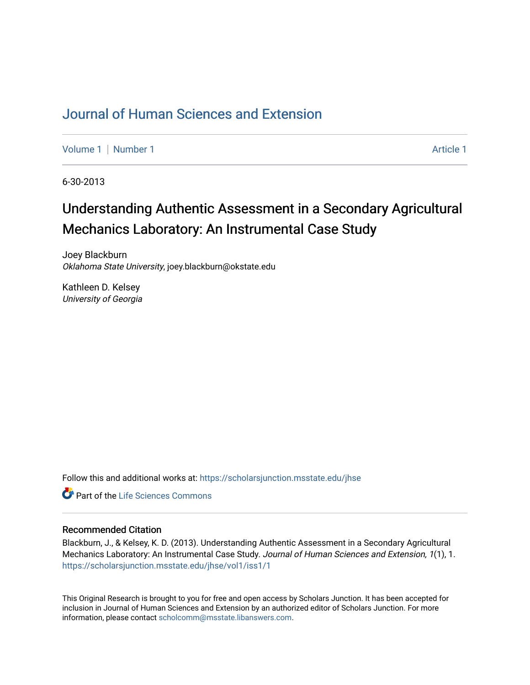## [Journal of Human Sciences and Extension](https://scholarsjunction.msstate.edu/jhse)

[Volume 1](https://scholarsjunction.msstate.edu/jhse/vol1) | [Number 1](https://scholarsjunction.msstate.edu/jhse/vol1/iss1) Article 1

6-30-2013

# Understanding Authentic Assessment in a Secondary Agricultural Mechanics Laboratory: An Instrumental Case Study

Joey Blackburn Oklahoma State University, joey.blackburn@okstate.edu

Kathleen D. Kelsey University of Georgia

Follow this and additional works at: [https://scholarsjunction.msstate.edu/jhse](https://scholarsjunction.msstate.edu/jhse?utm_source=scholarsjunction.msstate.edu%2Fjhse%2Fvol1%2Fiss1%2F1&utm_medium=PDF&utm_campaign=PDFCoverPages)

**C** Part of the Life Sciences Commons

#### Recommended Citation

Blackburn, J., & Kelsey, K. D. (2013). Understanding Authentic Assessment in a Secondary Agricultural Mechanics Laboratory: An Instrumental Case Study. Journal of Human Sciences and Extension, 1(1), 1. [https://scholarsjunction.msstate.edu/jhse/vol1/iss1/1](https://scholarsjunction.msstate.edu/jhse/vol1/iss1/1?utm_source=scholarsjunction.msstate.edu%2Fjhse%2Fvol1%2Fiss1%2F1&utm_medium=PDF&utm_campaign=PDFCoverPages)

This Original Research is brought to you for free and open access by Scholars Junction. It has been accepted for inclusion in Journal of Human Sciences and Extension by an authorized editor of Scholars Junction. For more information, please contact [scholcomm@msstate.libanswers.com](mailto:scholcomm@msstate.libanswers.com).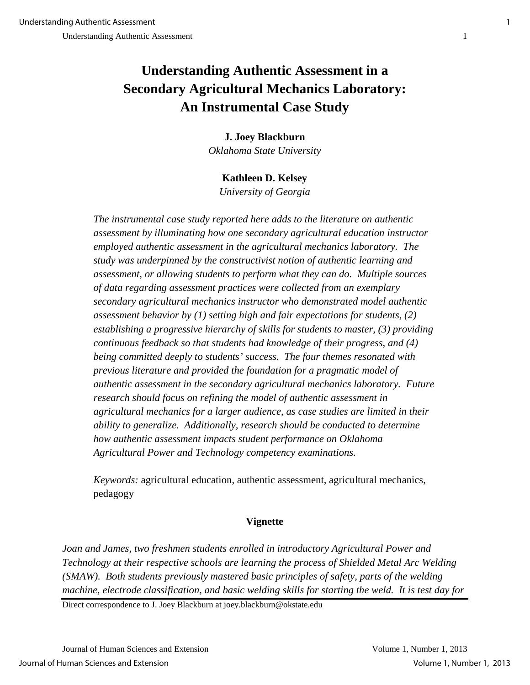## **Understanding Authentic Assessment in a Secondary Agricultural Mechanics Laboratory: An Instrumental Case Study**

### **J. Joey Blackburn**

*Oklahoma State University* 

## **Kathleen D. Kelsey**

*University of Georgia*

*The instrumental case study reported here adds to the literature on authentic assessment by illuminating how one secondary agricultural education instructor employed authentic assessment in the agricultural mechanics laboratory. The study was underpinned by the constructivist notion of authentic learning and assessment, or allowing students to perform what they can do. Multiple sources of data regarding assessment practices were collected from an exemplary secondary agricultural mechanics instructor who demonstrated model authentic assessment behavior by (1) setting high and fair expectations for students, (2) establishing a progressive hierarchy of skills for students to master, (3) providing continuous feedback so that students had knowledge of their progress, and (4) being committed deeply to students' success. The four themes resonated with previous literature and provided the foundation for a pragmatic model of authentic assessment in the secondary agricultural mechanics laboratory. Future research should focus on refining the model of authentic assessment in agricultural mechanics for a larger audience, as case studies are limited in their ability to generalize. Additionally, research should be conducted to determine how authentic assessment impacts student performance on Oklahoma Agricultural Power and Technology competency examinations.* 

*Keywords:* agricultural education, authentic assessment, agricultural mechanics, pedagogy

## **Vignette**

*Joan and James, two freshmen students enrolled in introductory Agricultural Power and Technology at their respective schools are learning the process of Shielded Metal Arc Welding (SMAW). Both students previously mastered basic principles of safety, parts of the welding machine, electrode classification, and basic welding skills for starting the weld. It is test day for* 

Direct correspondence to J. Joey Blackburn at joey.blackburn@okstate.edu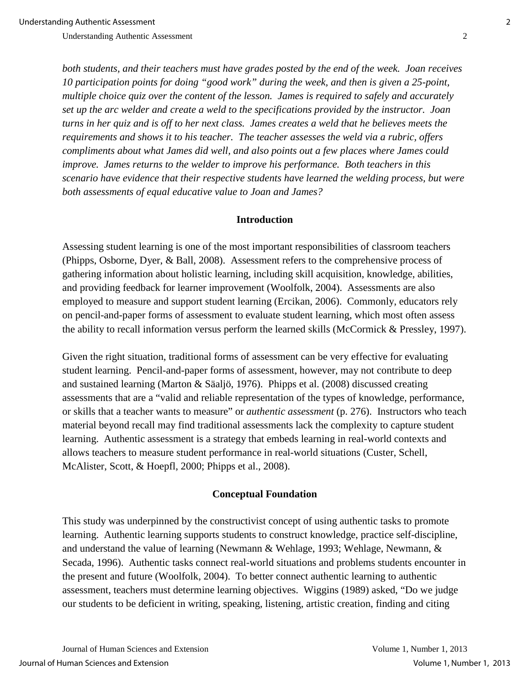*both students, and their teachers must have grades posted by the end of the week. Joan receives 10 participation points for doing "good work" during the week, and then is given a 25-point, multiple choice quiz over the content of the lesson. James is required to safely and accurately set up the arc welder and create a weld to the specifications provided by the instructor. Joan turns in her quiz and is off to her next class. James creates a weld that he believes meets the requirements and shows it to his teacher. The teacher assesses the weld via a rubric, offers compliments about what James did well, and also points out a few places where James could improve. James returns to the welder to improve his performance. Both teachers in this scenario have evidence that their respective students have learned the welding process, but were both assessments of equal educative value to Joan and James?* 

#### **Introduction**

Assessing student learning is one of the most important responsibilities of classroom teachers (Phipps, Osborne, Dyer, & Ball, 2008). Assessment refers to the comprehensive process of gathering information about holistic learning, including skill acquisition, knowledge, abilities, and providing feedback for learner improvement (Woolfolk, 2004). Assessments are also employed to measure and support student learning (Ercikan, 2006). Commonly, educators rely on pencil-and-paper forms of assessment to evaluate student learning, which most often assess the ability to recall information versus perform the learned skills (McCormick & Pressley, 1997).

Given the right situation, traditional forms of assessment can be very effective for evaluating student learning. Pencil-and-paper forms of assessment, however, may not contribute to deep and sustained learning (Marton & Säaljö, 1976). Phipps et al. (2008) discussed creating assessments that are a "valid and reliable representation of the types of knowledge, performance, or skills that a teacher wants to measure" or *authentic assessment* (p. 276). Instructors who teach material beyond recall may find traditional assessments lack the complexity to capture student learning. Authentic assessment is a strategy that embeds learning in real-world contexts and allows teachers to measure student performance in real-world situations (Custer, Schell, McAlister, Scott, & Hoepfl, 2000; Phipps et al., 2008).

#### **Conceptual Foundation**

This study was underpinned by the constructivist concept of using authentic tasks to promote learning. Authentic learning supports students to construct knowledge, practice self-discipline, and understand the value of learning (Newmann & Wehlage, 1993; Wehlage, Newmann, & Secada, 1996). Authentic tasks connect real-world situations and problems students encounter in the present and future (Woolfolk, 2004). To better connect authentic learning to authentic assessment, teachers must determine learning objectives. Wiggins (1989) asked, "Do we judge our students to be deficient in writing, speaking, listening, artistic creation, finding and citing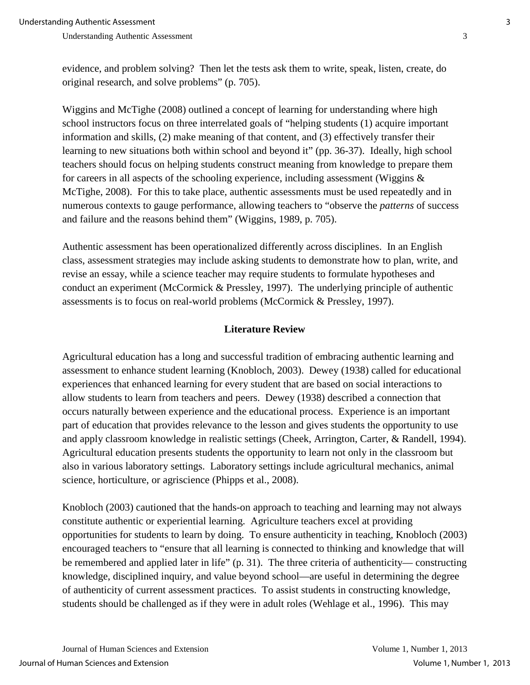evidence, and problem solving? Then let the tests ask them to write, speak, listen, create, do original research, and solve problems" (p. 705).

Wiggins and McTighe (2008) outlined a concept of learning for understanding where high school instructors focus on three interrelated goals of "helping students (1) acquire important information and skills, (2) make meaning of that content, and (3) effectively transfer their learning to new situations both within school and beyond it" (pp. 36-37). Ideally, high school teachers should focus on helping students construct meaning from knowledge to prepare them for careers in all aspects of the schooling experience, including assessment (Wiggins  $\&$ McTighe, 2008). For this to take place, authentic assessments must be used repeatedly and in numerous contexts to gauge performance, allowing teachers to "observe the *patterns* of success and failure and the reasons behind them" (Wiggins, 1989, p. 705).

Authentic assessment has been operationalized differently across disciplines. In an English class, assessment strategies may include asking students to demonstrate how to plan, write, and revise an essay, while a science teacher may require students to formulate hypotheses and conduct an experiment (McCormick & Pressley, 1997). The underlying principle of authentic assessments is to focus on real-world problems (McCormick & Pressley, 1997).

#### **Literature Review**

Agricultural education has a long and successful tradition of embracing authentic learning and assessment to enhance student learning (Knobloch, 2003). Dewey (1938) called for educational experiences that enhanced learning for every student that are based on social interactions to allow students to learn from teachers and peers. Dewey (1938) described a connection that occurs naturally between experience and the educational process. Experience is an important part of education that provides relevance to the lesson and gives students the opportunity to use and apply classroom knowledge in realistic settings (Cheek, Arrington, Carter, & Randell, 1994). Agricultural education presents students the opportunity to learn not only in the classroom but also in various laboratory settings. Laboratory settings include agricultural mechanics, animal science, horticulture, or agriscience (Phipps et al., 2008).

Knobloch (2003) cautioned that the hands-on approach to teaching and learning may not always constitute authentic or experiential learning. Agriculture teachers excel at providing opportunities for students to learn by doing. To ensure authenticity in teaching, Knobloch (2003) encouraged teachers to "ensure that all learning is connected to thinking and knowledge that will be remembered and applied later in life" (p. 31). The three criteria of authenticity— constructing knowledge, disciplined inquiry, and value beyond school—are useful in determining the degree of authenticity of current assessment practices. To assist students in constructing knowledge, students should be challenged as if they were in adult roles (Wehlage et al., 1996). This may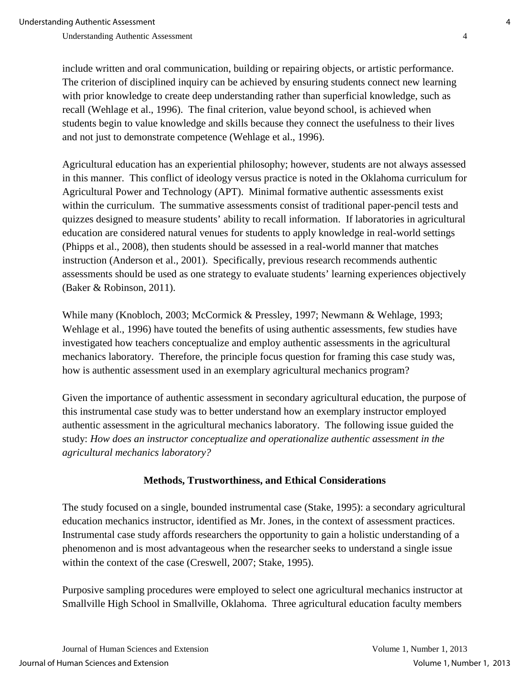include written and oral communication, building or repairing objects, or artistic performance. The criterion of disciplined inquiry can be achieved by ensuring students connect new learning with prior knowledge to create deep understanding rather than superficial knowledge, such as recall (Wehlage et al., 1996). The final criterion, value beyond school, is achieved when students begin to value knowledge and skills because they connect the usefulness to their lives and not just to demonstrate competence (Wehlage et al., 1996).

Agricultural education has an experiential philosophy; however, students are not always assessed in this manner. This conflict of ideology versus practice is noted in the Oklahoma curriculum for Agricultural Power and Technology (APT). Minimal formative authentic assessments exist within the curriculum. The summative assessments consist of traditional paper-pencil tests and quizzes designed to measure students' ability to recall information. If laboratories in agricultural education are considered natural venues for students to apply knowledge in real-world settings (Phipps et al., 2008), then students should be assessed in a real-world manner that matches instruction (Anderson et al., 2001). Specifically, previous research recommends authentic assessments should be used as one strategy to evaluate students' learning experiences objectively (Baker & Robinson, 2011).

While many (Knobloch, 2003; McCormick & Pressley, 1997; Newmann & Wehlage, 1993; Wehlage et al., 1996) have touted the benefits of using authentic assessments, few studies have investigated how teachers conceptualize and employ authentic assessments in the agricultural mechanics laboratory. Therefore, the principle focus question for framing this case study was, how is authentic assessment used in an exemplary agricultural mechanics program?

Given the importance of authentic assessment in secondary agricultural education, the purpose of this instrumental case study was to better understand how an exemplary instructor employed authentic assessment in the agricultural mechanics laboratory. The following issue guided the study: *How does an instructor conceptualize and operationalize authentic assessment in the agricultural mechanics laboratory?* 

## **Methods, Trustworthiness, and Ethical Considerations**

The study focused on a single, bounded instrumental case (Stake, 1995): a secondary agricultural education mechanics instructor, identified as Mr. Jones, in the context of assessment practices. Instrumental case study affords researchers the opportunity to gain a holistic understanding of a phenomenon and is most advantageous when the researcher seeks to understand a single issue within the context of the case (Creswell, 2007; Stake, 1995).

Purposive sampling procedures were employed to select one agricultural mechanics instructor at Smallville High School in Smallville, Oklahoma. Three agricultural education faculty members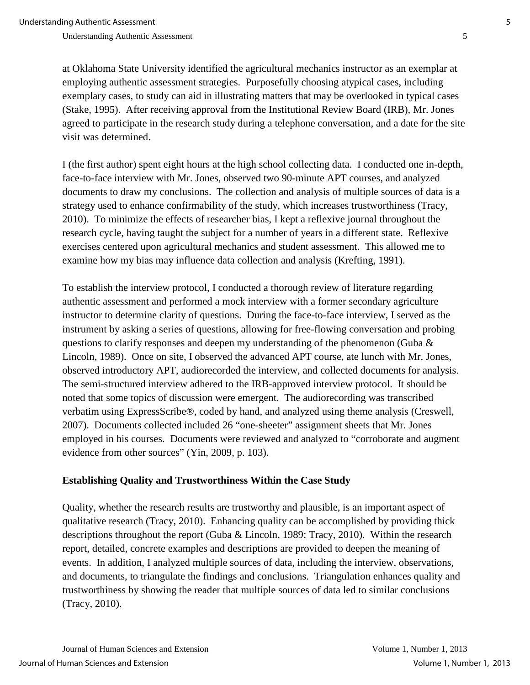at Oklahoma State University identified the agricultural mechanics instructor as an exemplar at employing authentic assessment strategies. Purposefully choosing atypical cases, including exemplary cases, to study can aid in illustrating matters that may be overlooked in typical cases (Stake, 1995). After receiving approval from the Institutional Review Board (IRB), Mr. Jones agreed to participate in the research study during a telephone conversation, and a date for the site visit was determined.

I (the first author) spent eight hours at the high school collecting data. I conducted one in-depth, face-to-face interview with Mr. Jones, observed two 90-minute APT courses, and analyzed documents to draw my conclusions. The collection and analysis of multiple sources of data is a strategy used to enhance confirmability of the study, which increases trustworthiness (Tracy, 2010). To minimize the effects of researcher bias, I kept a reflexive journal throughout the research cycle, having taught the subject for a number of years in a different state. Reflexive exercises centered upon agricultural mechanics and student assessment. This allowed me to examine how my bias may influence data collection and analysis (Krefting, 1991).

To establish the interview protocol, I conducted a thorough review of literature regarding authentic assessment and performed a mock interview with a former secondary agriculture instructor to determine clarity of questions. During the face-to-face interview, I served as the instrument by asking a series of questions, allowing for free-flowing conversation and probing questions to clarify responses and deepen my understanding of the phenomenon (Guba & Lincoln, 1989). Once on site, I observed the advanced APT course, ate lunch with Mr. Jones, observed introductory APT, audiorecorded the interview, and collected documents for analysis. The semi-structured interview adhered to the IRB-approved interview protocol. It should be noted that some topics of discussion were emergent. The audiorecording was transcribed verbatim using ExpressScribe®, coded by hand, and analyzed using theme analysis (Creswell, 2007). Documents collected included 26 "one-sheeter" assignment sheets that Mr. Jones employed in his courses. Documents were reviewed and analyzed to "corroborate and augment evidence from other sources" (Yin, 2009, p. 103).

## **Establishing Quality and Trustworthiness Within the Case Study**

Quality, whether the research results are trustworthy and plausible, is an important aspect of qualitative research (Tracy, 2010). Enhancing quality can be accomplished by providing thick descriptions throughout the report (Guba & Lincoln, 1989; Tracy, 2010). Within the research report, detailed, concrete examples and descriptions are provided to deepen the meaning of events. In addition, I analyzed multiple sources of data, including the interview, observations, and documents, to triangulate the findings and conclusions. Triangulation enhances quality and trustworthiness by showing the reader that multiple sources of data led to similar conclusions (Tracy, 2010).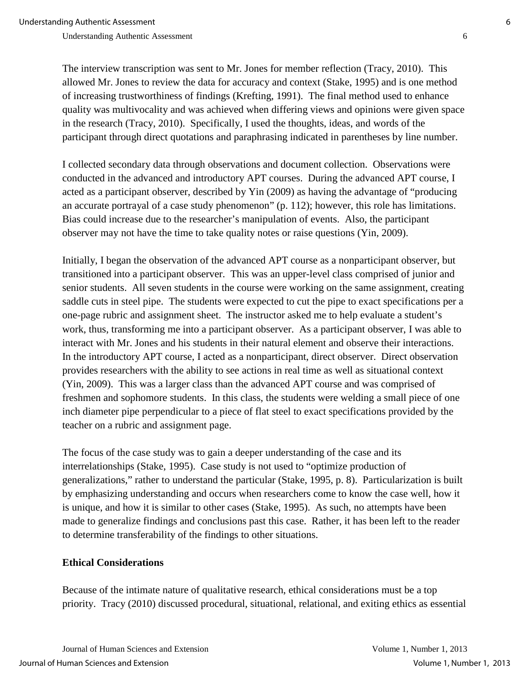The interview transcription was sent to Mr. Jones for member reflection (Tracy, 2010). This allowed Mr. Jones to review the data for accuracy and context (Stake, 1995) and is one method of increasing trustworthiness of findings (Krefting, 1991). The final method used to enhance quality was multivocality and was achieved when differing views and opinions were given space in the research (Tracy, 2010). Specifically, I used the thoughts, ideas, and words of the participant through direct quotations and paraphrasing indicated in parentheses by line number.

I collected secondary data through observations and document collection. Observations were conducted in the advanced and introductory APT courses. During the advanced APT course, I acted as a participant observer, described by Yin (2009) as having the advantage of "producing an accurate portrayal of a case study phenomenon" (p. 112); however, this role has limitations. Bias could increase due to the researcher's manipulation of events. Also, the participant observer may not have the time to take quality notes or raise questions (Yin, 2009).

Initially, I began the observation of the advanced APT course as a nonparticipant observer, but transitioned into a participant observer. This was an upper-level class comprised of junior and senior students. All seven students in the course were working on the same assignment, creating saddle cuts in steel pipe. The students were expected to cut the pipe to exact specifications per a one-page rubric and assignment sheet. The instructor asked me to help evaluate a student's work, thus, transforming me into a participant observer. As a participant observer, I was able to interact with Mr. Jones and his students in their natural element and observe their interactions. In the introductory APT course, I acted as a nonparticipant, direct observer. Direct observation provides researchers with the ability to see actions in real time as well as situational context (Yin, 2009). This was a larger class than the advanced APT course and was comprised of freshmen and sophomore students. In this class, the students were welding a small piece of one inch diameter pipe perpendicular to a piece of flat steel to exact specifications provided by the teacher on a rubric and assignment page.

The focus of the case study was to gain a deeper understanding of the case and its interrelationships (Stake, 1995). Case study is not used to "optimize production of generalizations," rather to understand the particular (Stake, 1995, p. 8). Particularization is built by emphasizing understanding and occurs when researchers come to know the case well, how it is unique, and how it is similar to other cases (Stake, 1995). As such, no attempts have been made to generalize findings and conclusions past this case. Rather, it has been left to the reader to determine transferability of the findings to other situations.

### **Ethical Considerations**

Because of the intimate nature of qualitative research, ethical considerations must be a top priority. Tracy (2010) discussed procedural, situational, relational, and exiting ethics as essential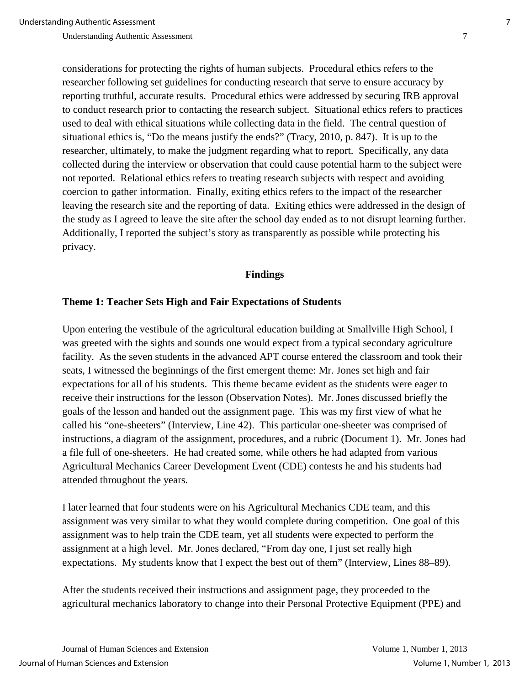considerations for protecting the rights of human subjects. Procedural ethics refers to the researcher following set guidelines for conducting research that serve to ensure accuracy by reporting truthful, accurate results. Procedural ethics were addressed by securing IRB approval to conduct research prior to contacting the research subject. Situational ethics refers to practices used to deal with ethical situations while collecting data in the field. The central question of situational ethics is, "Do the means justify the ends?" (Tracy, 2010, p. 847). It is up to the researcher, ultimately, to make the judgment regarding what to report. Specifically, any data collected during the interview or observation that could cause potential harm to the subject were not reported. Relational ethics refers to treating research subjects with respect and avoiding coercion to gather information. Finally, exiting ethics refers to the impact of the researcher leaving the research site and the reporting of data. Exiting ethics were addressed in the design of the study as I agreed to leave the site after the school day ended as to not disrupt learning further. Additionally, I reported the subject's story as transparently as possible while protecting his privacy.

#### **Findings**

#### **Theme 1: Teacher Sets High and Fair Expectations of Students**

Upon entering the vestibule of the agricultural education building at Smallville High School, I was greeted with the sights and sounds one would expect from a typical secondary agriculture facility. As the seven students in the advanced APT course entered the classroom and took their seats, I witnessed the beginnings of the first emergent theme: Mr. Jones set high and fair expectations for all of his students. This theme became evident as the students were eager to receive their instructions for the lesson (Observation Notes). Mr. Jones discussed briefly the goals of the lesson and handed out the assignment page. This was my first view of what he called his "one-sheeters" (Interview, Line 42). This particular one-sheeter was comprised of instructions, a diagram of the assignment, procedures, and a rubric (Document 1). Mr. Jones had a file full of one-sheeters. He had created some, while others he had adapted from various Agricultural Mechanics Career Development Event (CDE) contests he and his students had attended throughout the years.

I later learned that four students were on his Agricultural Mechanics CDE team, and this assignment was very similar to what they would complete during competition. One goal of this assignment was to help train the CDE team, yet all students were expected to perform the assignment at a high level. Mr. Jones declared, "From day one, I just set really high expectations. My students know that I expect the best out of them" (Interview, Lines 88–89).

After the students received their instructions and assignment page, they proceeded to the agricultural mechanics laboratory to change into their Personal Protective Equipment (PPE) and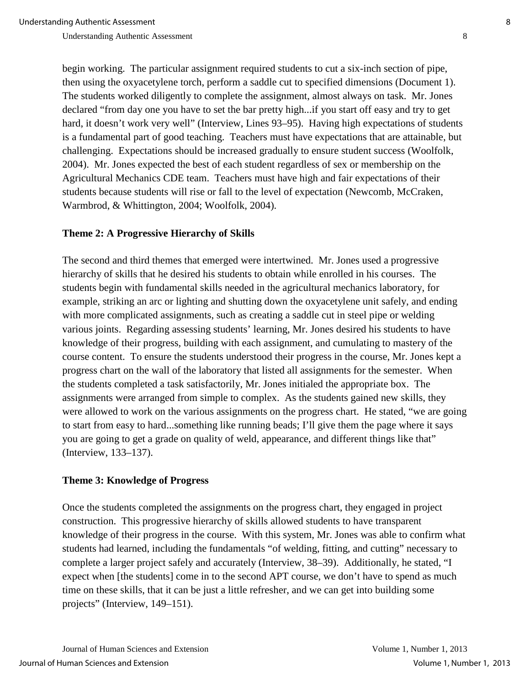begin working. The particular assignment required students to cut a six-inch section of pipe, then using the oxyacetylene torch, perform a saddle cut to specified dimensions (Document 1). The students worked diligently to complete the assignment, almost always on task. Mr. Jones declared "from day one you have to set the bar pretty high...if you start off easy and try to get hard, it doesn't work very well" (Interview, Lines 93–95). Having high expectations of students is a fundamental part of good teaching. Teachers must have expectations that are attainable, but challenging. Expectations should be increased gradually to ensure student success (Woolfolk, 2004). Mr. Jones expected the best of each student regardless of sex or membership on the Agricultural Mechanics CDE team. Teachers must have high and fair expectations of their students because students will rise or fall to the level of expectation (Newcomb, McCraken, Warmbrod, & Whittington, 2004; Woolfolk, 2004).

### **Theme 2: A Progressive Hierarchy of Skills**

The second and third themes that emerged were intertwined. Mr. Jones used a progressive hierarchy of skills that he desired his students to obtain while enrolled in his courses. The students begin with fundamental skills needed in the agricultural mechanics laboratory, for example, striking an arc or lighting and shutting down the oxyacetylene unit safely, and ending with more complicated assignments, such as creating a saddle cut in steel pipe or welding various joints. Regarding assessing students' learning, Mr. Jones desired his students to have knowledge of their progress*,* building with each assignment, and cumulating to mastery of the course content. To ensure the students understood their progress in the course, Mr. Jones kept a progress chart on the wall of the laboratory that listed all assignments for the semester. When the students completed a task satisfactorily, Mr. Jones initialed the appropriate box. The assignments were arranged from simple to complex. As the students gained new skills, they were allowed to work on the various assignments on the progress chart. He stated, "we are going to start from easy to hard...something like running beads; I'll give them the page where it says you are going to get a grade on quality of weld, appearance, and different things like that" (Interview, 133–137).

#### **Theme 3: Knowledge of Progress**

Once the students completed the assignments on the progress chart, they engaged in project construction. This progressive hierarchy of skills allowed students to have transparent knowledge of their progress in the course. With this system, Mr. Jones was able to confirm what students had learned, including the fundamentals "of welding, fitting, and cutting" necessary to complete a larger project safely and accurately (Interview, 38–39). Additionally, he stated, "I expect when [the students] come in to the second APT course, we don't have to spend as much time on these skills, that it can be just a little refresher, and we can get into building some projects" (Interview, 149–151).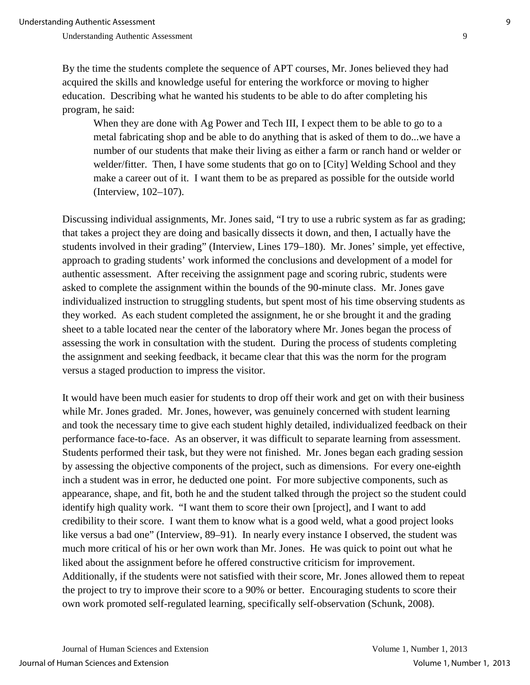By the time the students complete the sequence of APT courses, Mr. Jones believed they had acquired the skills and knowledge useful for entering the workforce or moving to higher education. Describing what he wanted his students to be able to do after completing his program, he said:

When they are done with Ag Power and Tech III, I expect them to be able to go to a metal fabricating shop and be able to do anything that is asked of them to do...we have a number of our students that make their living as either a farm or ranch hand or welder or welder/fitter. Then, I have some students that go on to [City] Welding School and they make a career out of it. I want them to be as prepared as possible for the outside world (Interview, 102–107).

Discussing individual assignments, Mr. Jones said, "I try to use a rubric system as far as grading; that takes a project they are doing and basically dissects it down, and then, I actually have the students involved in their grading" (Interview, Lines 179–180). Mr. Jones' simple, yet effective, approach to grading students' work informed the conclusions and development of a model for authentic assessment. After receiving the assignment page and scoring rubric, students were asked to complete the assignment within the bounds of the 90-minute class. Mr. Jones gave individualized instruction to struggling students, but spent most of his time observing students as they worked. As each student completed the assignment, he or she brought it and the grading sheet to a table located near the center of the laboratory where Mr. Jones began the process of assessing the work in consultation with the student. During the process of students completing the assignment and seeking feedback, it became clear that this was the norm for the program versus a staged production to impress the visitor.

It would have been much easier for students to drop off their work and get on with their business while Mr. Jones graded. Mr. Jones, however, was genuinely concerned with student learning and took the necessary time to give each student highly detailed, individualized feedback on their performance face-to-face. As an observer, it was difficult to separate learning from assessment. Students performed their task, but they were not finished. Mr. Jones began each grading session by assessing the objective components of the project, such as dimensions. For every one-eighth inch a student was in error, he deducted one point. For more subjective components, such as appearance, shape, and fit, both he and the student talked through the project so the student could identify high quality work. "I want them to score their own [project], and I want to add credibility to their score. I want them to know what is a good weld, what a good project looks like versus a bad one" (Interview, 89–91). In nearly every instance I observed, the student was much more critical of his or her own work than Mr. Jones. He was quick to point out what he liked about the assignment before he offered constructive criticism for improvement. Additionally, if the students were not satisfied with their score, Mr. Jones allowed them to repeat the project to try to improve their score to a 90% or better. Encouraging students to score their own work promoted self-regulated learning, specifically self-observation (Schunk, 2008).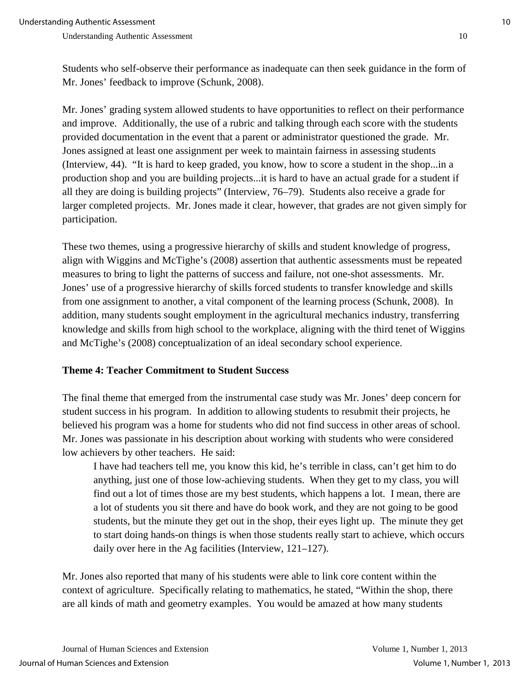Students who self-observe their performance as inadequate can then seek guidance in the form of Mr. Jones' feedback to improve (Schunk, 2008).

Mr. Jones' grading system allowed students to have opportunities to reflect on their performance and improve. Additionally, the use of a rubric and talking through each score with the students provided documentation in the event that a parent or administrator questioned the grade. Mr. Jones assigned at least one assignment per week to maintain fairness in assessing students (Interview, 44). "It is hard to keep graded, you know, how to score a student in the shop...in a production shop and you are building projects...it is hard to have an actual grade for a student if all they are doing is building projects" (Interview, 76–79). Students also receive a grade for larger completed projects. Mr. Jones made it clear, however, that grades are not given simply for participation.

These two themes, using a progressive hierarchy of skills and student knowledge of progress, align with Wiggins and McTighe's (2008) assertion that authentic assessments must be repeated measures to bring to light the patterns of success and failure, not one-shot assessments. Mr. Jones' use of a progressive hierarchy of skills forced students to transfer knowledge and skills from one assignment to another, a vital component of the learning process (Schunk, 2008). In addition, many students sought employment in the agricultural mechanics industry, transferring knowledge and skills from high school to the workplace, aligning with the third tenet of Wiggins and McTighe's (2008) conceptualization of an ideal secondary school experience.

## **Theme 4: Teacher Commitment to Student Success**

The final theme that emerged from the instrumental case study was Mr. Jones' deep concern for student success in his program. In addition to allowing students to resubmit their projects, he believed his program was a home for students who did not find success in other areas of school. Mr. Jones was passionate in his description about working with students who were considered low achievers by other teachers. He said:

I have had teachers tell me, you know this kid, he's terrible in class, can't get him to do anything, just one of those low-achieving students. When they get to my class, you will find out a lot of times those are my best students, which happens a lot. I mean, there are a lot of students you sit there and have do book work, and they are not going to be good students, but the minute they get out in the shop, their eyes light up. The minute they get to start doing hands-on things is when those students really start to achieve, which occurs daily over here in the Ag facilities (Interview, 121–127).

Mr. Jones also reported that many of his students were able to link core content within the context of agriculture. Specifically relating to mathematics, he stated, "Within the shop, there are all kinds of math and geometry examples. You would be amazed at how many students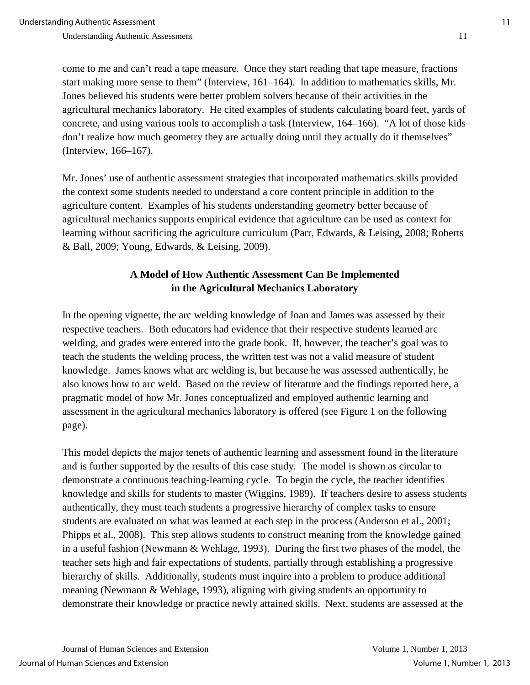come to me and can't read a tape measure. Once they start reading that tape measure, fractions start making more sense to them" (Interview, 161–164). In addition to mathematics skills, Mr. Jones believed his students were better problem solvers because of their activities in the agricultural mechanics laboratory. He cited examples of students calculating board feet, yards of concrete, and using various tools to accomplish a task (Interview, 164–166). "A lot of those kids don't realize how much geometry they are actually doing until they actually do it themselves" (Interview, 166–167).

Mr. Jones' use of authentic assessment strategies that incorporated mathematics skills provided the context some students needed to understand a core content principle in addition to the agriculture content. Examples of his students understanding geometry better because of agricultural mechanics supports empirical evidence that agriculture can be used as context for learning without sacrificing the agriculture curriculum (Parr, Edwards, & Leising, 2008; Roberts & Ball, 2009; Young, Edwards, & Leising, 2009).

## **A Model of How Authentic Assessment Can Be Implemented in the Agricultural Mechanics Laboratory**

In the opening vignette, the arc welding knowledge of Joan and James was assessed by their respective teachers. Both educators had evidence that their respective students learned arc welding, and grades were entered into the grade book. If, however, the teacher's goal was to teach the students the welding process, the written test was not a valid measure of student knowledge. James knows what arc welding is, but because he was assessed authentically, he also knows how to arc weld. Based on the review of literature and the findings reported here, a pragmatic model of how Mr. Jones conceptualized and employed authentic learning and assessment in the agricultural mechanics laboratory is offered (see Figure 1 on the following page).

This model depicts the major tenets of authentic learning and assessment found in the literature and is further supported by the results of this case study. The model is shown as circular to demonstrate a continuous teaching-learning cycle. To begin the cycle, the teacher identifies knowledge and skills for students to master (Wiggins, 1989). If teachers desire to assess students authentically, they must teach students a progressive hierarchy of complex tasks to ensure students are evaluated on what was learned at each step in the process (Anderson et al., 2001; Phipps et al., 2008). This step allows students to construct meaning from the knowledge gained in a useful fashion (Newmann & Wehlage, 1993). During the first two phases of the model, the teacher sets high and fair expectations of students, partially through establishing a progressive hierarchy of skills. Additionally, students must inquire into a problem to produce additional meaning (Newmann & Wehlage, 1993), aligning with giving students an opportunity to demonstrate their knowledge or practice newly attained skills. Next, students are assessed at the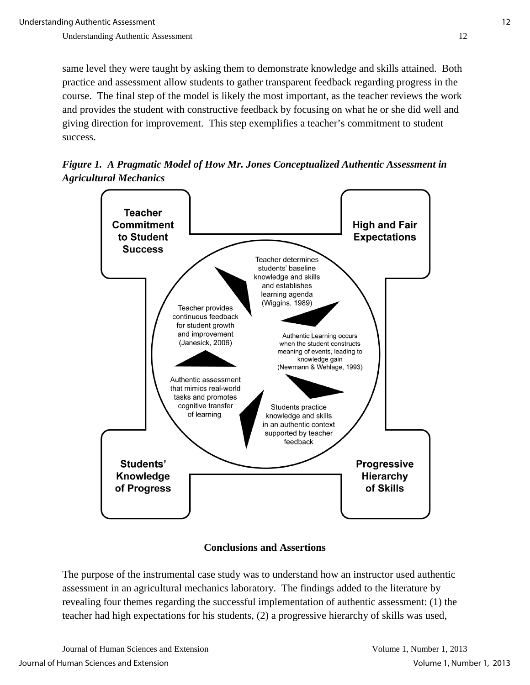same level they were taught by asking them to demonstrate knowledge and skills attained. Both practice and assessment allow students to gather transparent feedback regarding progress in the course. The final step of the model is likely the most important, as the teacher reviews the work and provides the student with constructive feedback by focusing on what he or she did well and giving direction for improvement. This step exemplifies a teacher's commitment to student success.

*Figure 1. A Pragmatic Model of How Mr. Jones Conceptualized Authentic Assessment in Agricultural Mechanics*



**Conclusions and Assertions**

The purpose of the instrumental case study was to understand how an instructor used authentic assessment in an agricultural mechanics laboratory. The findings added to the literature by revealing four themes regarding the successful implementation of authentic assessment: (1) the teacher had high expectations for his students, (2) a progressive hierarchy of skills was used,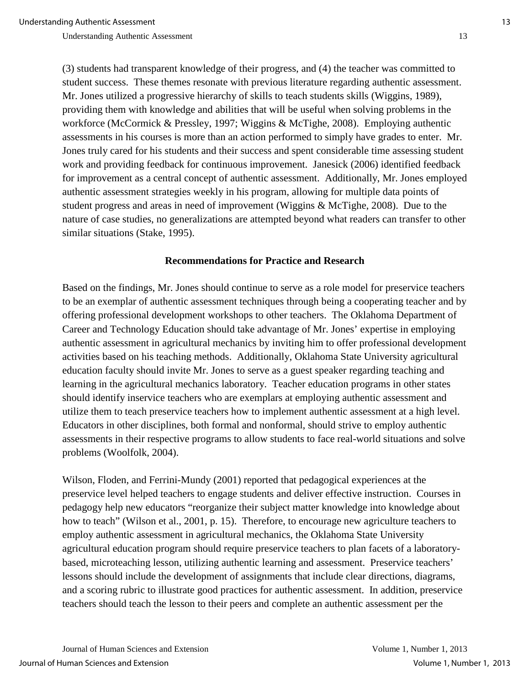(3) students had transparent knowledge of their progress, and (4) the teacher was committed to student success. These themes resonate with previous literature regarding authentic assessment. Mr. Jones utilized a progressive hierarchy of skills to teach students skills (Wiggins, 1989), providing them with knowledge and abilities that will be useful when solving problems in the workforce (McCormick & Pressley, 1997; Wiggins & McTighe, 2008). Employing authentic assessments in his courses is more than an action performed to simply have grades to enter. Mr. Jones truly cared for his students and their success and spent considerable time assessing student work and providing feedback for continuous improvement. Janesick (2006) identified feedback for improvement as a central concept of authentic assessment. Additionally, Mr. Jones employed authentic assessment strategies weekly in his program, allowing for multiple data points of student progress and areas in need of improvement (Wiggins & McTighe, 2008). Due to the nature of case studies, no generalizations are attempted beyond what readers can transfer to other similar situations (Stake, 1995).

#### **Recommendations for Practice and Research**

Based on the findings, Mr. Jones should continue to serve as a role model for preservice teachers to be an exemplar of authentic assessment techniques through being a cooperating teacher and by offering professional development workshops to other teachers. The Oklahoma Department of Career and Technology Education should take advantage of Mr. Jones' expertise in employing authentic assessment in agricultural mechanics by inviting him to offer professional development activities based on his teaching methods. Additionally, Oklahoma State University agricultural education faculty should invite Mr. Jones to serve as a guest speaker regarding teaching and learning in the agricultural mechanics laboratory. Teacher education programs in other states should identify inservice teachers who are exemplars at employing authentic assessment and utilize them to teach preservice teachers how to implement authentic assessment at a high level. Educators in other disciplines, both formal and nonformal, should strive to employ authentic assessments in their respective programs to allow students to face real-world situations and solve problems (Woolfolk, 2004).

Wilson, Floden, and Ferrini-Mundy (2001) reported that pedagogical experiences at the preservice level helped teachers to engage students and deliver effective instruction. Courses in pedagogy help new educators "reorganize their subject matter knowledge into knowledge about how to teach" (Wilson et al., 2001, p. 15). Therefore, to encourage new agriculture teachers to employ authentic assessment in agricultural mechanics, the Oklahoma State University agricultural education program should require preservice teachers to plan facets of a laboratorybased, microteaching lesson, utilizing authentic learning and assessment. Preservice teachers' lessons should include the development of assignments that include clear directions, diagrams, and a scoring rubric to illustrate good practices for authentic assessment. In addition, preservice teachers should teach the lesson to their peers and complete an authentic assessment per the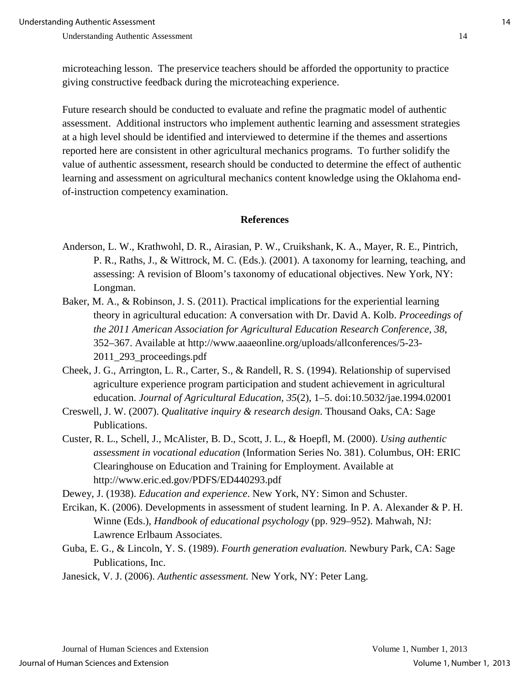microteaching lesson. The preservice teachers should be afforded the opportunity to practice giving constructive feedback during the microteaching experience.

Future research should be conducted to evaluate and refine the pragmatic model of authentic assessment. Additional instructors who implement authentic learning and assessment strategies at a high level should be identified and interviewed to determine if the themes and assertions reported here are consistent in other agricultural mechanics programs. To further solidify the value of authentic assessment, research should be conducted to determine the effect of authentic learning and assessment on agricultural mechanics content knowledge using the Oklahoma endof-instruction competency examination.

#### **References**

- Anderson, L. W., Krathwohl, D. R., Airasian, P. W., Cruikshank, K. A., Mayer, R. E., Pintrich, P. R., Raths, J., & Wittrock, M. C. (Eds.). (2001). A taxonomy for learning, teaching, and assessing: A revision of Bloom's taxonomy of educational objectives. New York, NY: Longman.
- Baker, M. A., & Robinson, J. S. (2011). Practical implications for the experiential learning theory in agricultural education: A conversation with Dr. David A. Kolb. *Proceedings of the 2011 American Association for Agricultural Education Research Conference, 38*, 352–367. Available at http://www.aaaeonline.org/uploads/allconferences/5-23- 2011\_293\_proceedings.pdf
- Cheek, J. G., Arrington, L. R., Carter, S., & Randell, R. S. (1994). Relationship of supervised agriculture experience program participation and student achievement in agricultural education. *Journal of Agricultural Education, 35*(2), 1–5. doi:10.5032/jae.1994.02001
- Creswell, J. W. (2007). *Qualitative inquiry & research design*. Thousand Oaks, CA: Sage Publications.
- Custer, R. L., Schell, J., McAlister, B. D., Scott, J. L., & Hoepfl, M. (2000). *Using authentic assessment in vocational education* (Information Series No. 381). Columbus, OH: ERIC Clearinghouse on Education and Training for Employment. Available at http://www.eric.ed.gov/PDFS/ED440293.pdf

Dewey, J. (1938). *Education and experience*. New York, NY: Simon and Schuster.

- Ercikan, K. (2006). Developments in assessment of student learning. In P. A. Alexander & P. H. Winne (Eds.), *Handbook of educational psychology* (pp. 929–952). Mahwah, NJ: Lawrence Erlbaum Associates.
- Guba, E. G., & Lincoln, Y. S. (1989). *Fourth generation evaluation.* Newbury Park, CA: Sage Publications, Inc.
- Janesick, V. J. (2006). *Authentic assessment.* New York, NY: Peter Lang.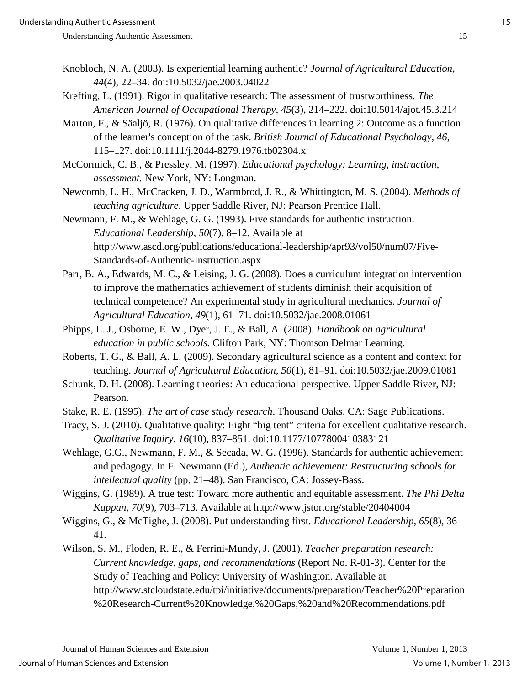- Knobloch, N. A. (2003). Is experiential learning authentic? *Journal of Agricultural Education, 44*(4), 22–34. doi:10.5032/jae.2003.04022
- Krefting, L. (1991). Rigor in qualitative research: The assessment of trustworthiness*. The American Journal of Occupational Therapy, 45*(3), 214–222. doi:10.5014/ajot.45.3.214
- Marton, F., & Säaljö, R. (1976). On qualitative differences in learning 2: Outcome as a function of the learner's conception of the task. *British Journal of Educational Psychology, 46*, 115–127. doi:10.1111/j.2044-8279.1976.tb02304.x
- McCormick, C. B., & Pressley, M. (1997). *Educational psychology: Learning, instruction, assessment.* New York, NY: Longman.
- Newcomb, L. H., McCracken, J. D., Warmbrod, J. R., & Whittington, M. S. (2004). *Methods of teaching agriculture*. Upper Saddle River, NJ: Pearson Prentice Hall.
- Newmann, F. M., & Wehlage, G. G. (1993). Five standards for authentic instruction. *Educational Leadership, 50*(7), 8–12. Available at http://www.ascd.org/publications/educational-leadership/apr93/vol50/num07/Five-Standards-of-Authentic-Instruction.aspx
- Parr, B. A., Edwards, M. C., & Leising, J. G. (2008). Does a curriculum integration intervention to improve the mathematics achievement of students diminish their acquisition of technical competence? An experimental study in agricultural mechanics. *Journal of Agricultural Education, 49*(1), 61–71. doi:10.5032/jae.2008.01061
- Phipps, L. J., Osborne, E. W., Dyer, J. E., & Ball, A. (2008). *Handbook on agricultural education in public schools.* Clifton Park, NY: Thomson Delmar Learning.
- Roberts, T. G., & Ball, A. L. (2009). Secondary agricultural science as a content and context for teaching. *Journal of Agricultural Education, 50*(1), 81–91. doi:10.5032/jae.2009.01081
- Schunk, D. H. (2008). Learning theories: An educational perspective. Upper Saddle River, NJ: Pearson.
- Stake, R. E. (1995). *The art of case study research*. Thousand Oaks, CA: Sage Publications.
- Tracy, S. J. (2010). Qualitative quality: Eight "big tent" criteria for excellent qualitative research. *Qualitative Inquiry, 16*(10), 837–851. doi:10.1177/1077800410383121
- Wehlage, G.G., Newmann, F. M., & Secada, W. G. (1996). Standards for authentic achievement and pedagogy. In F. Newmann (Ed.), *Authentic achievement: Restructuring schools for intellectual quality* (pp. 21–48). San Francisco, CA: Jossey-Bass.
- Wiggins, G. (1989). A true test: Toward more authentic and equitable assessment. *The Phi Delta Kappan, 70*(9), 703–713. Available at http://www.jstor.org/stable/20404004
- Wiggins, G., & McTighe, J. (2008). Put understanding first. *Educational Leadership, 65*(8), 36– 41.
- Wilson, S. M., Floden, R. E., & Ferrini-Mundy, J. (2001). *Teacher preparation research: Current knowledge, gaps, and recommendations* (Report No. R-01-3). Center for the Study of Teaching and Policy: University of Washington. Available at http://www.stcloudstate.edu/tpi/initiative/documents/preparation/Teacher%20Preparation %20Research-Current%20Knowledge,%20Gaps,%20and%20Recommendations.pdf